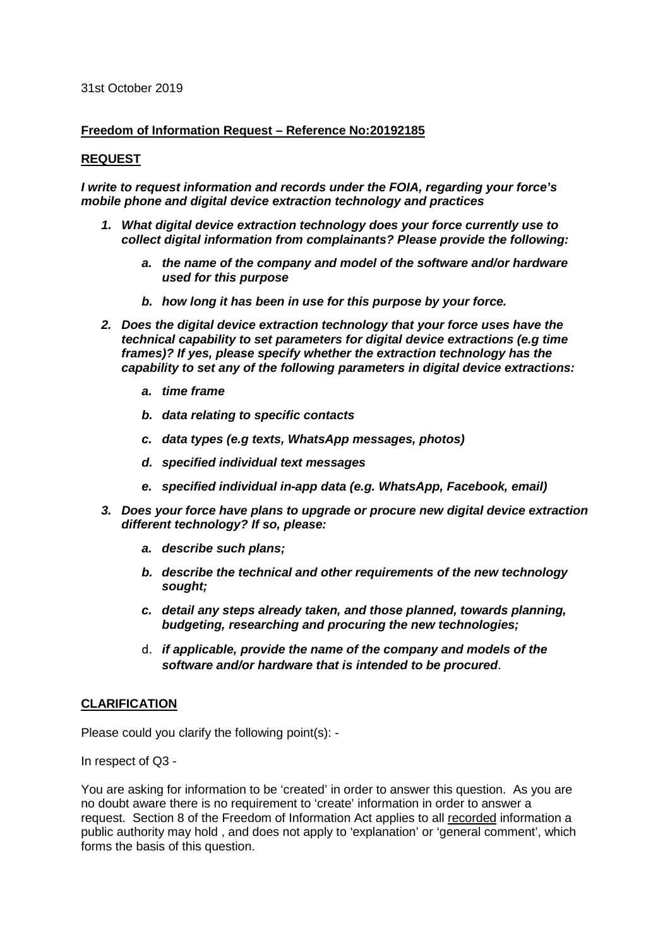#### 31st October 2019

### **Freedom of Information Request – Reference No:20192185**

## **REQUEST**

*I write to request information and records under the FOIA, regarding your force's mobile phone and digital device extraction technology and practices*

- *1. What digital device extraction technology does your force currently use to collect digital information from complainants? Please provide the following:*
	- *a. the name of the company and model of the software and/or hardware used for this purpose*
	- *b. how long it has been in use for this purpose by your force.*
- *2. Does the digital device extraction technology that your force uses have the technical capability to set parameters for digital device extractions (e.g time frames)? If yes, please specify whether the extraction technology has the capability to set any of the following parameters in digital device extractions:*
	- *a. time frame*
	- *b. data relating to specific contacts*
	- *c. data types (e.g texts, WhatsApp messages, photos)*
	- *d. specified individual text messages*
	- *e. specified individual in-app data (e.g. WhatsApp, Facebook, email)*
- *3. Does your force have plans to upgrade or procure new digital device extraction different technology? If so, please:*
	- *a. describe such plans;*
	- *b. describe the technical and other requirements of the new technology sought;*
	- *c. detail any steps already taken, and those planned, towards planning, budgeting, researching and procuring the new technologies;*
	- d. *if applicable, provide the name of the company and models of the software and/or hardware that is intended to be procured*.

### **CLARIFICATION**

Please could you clarify the following point(s): -

In respect of Q3 -

You are asking for information to be 'created' in order to answer this question. As you are no doubt aware there is no requirement to 'create' information in order to answer a request. Section 8 of the Freedom of Information Act applies to all recorded information a public authority may hold , and does not apply to 'explanation' or 'general comment', which forms the basis of this question.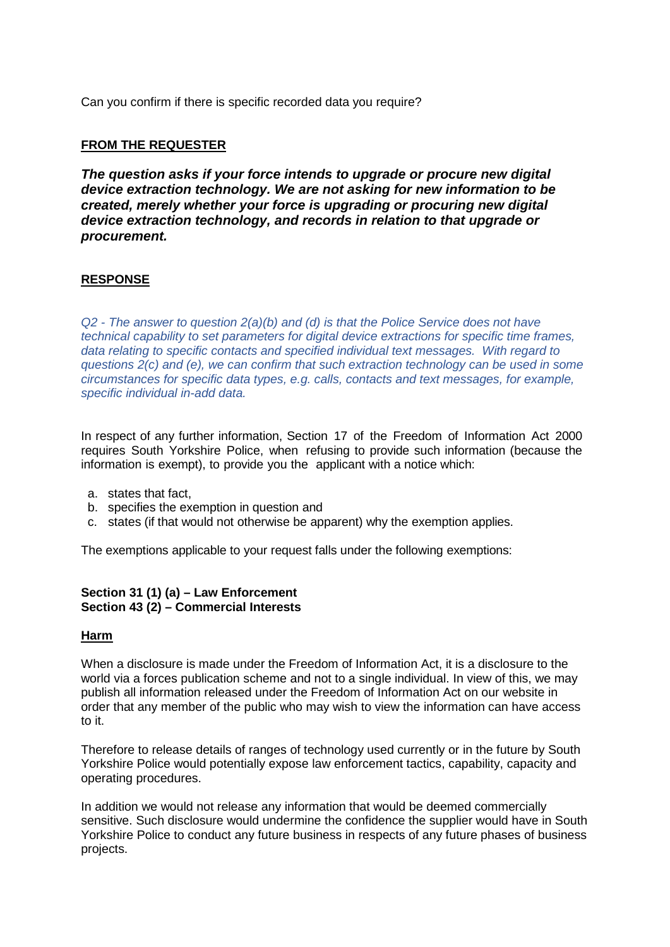Can you confirm if there is specific recorded data you require?

# **FROM THE REQUESTER**

*The question asks if your force intends to upgrade or procure new digital device extraction technology. We are not asking for new information to be created, merely whether your force is upgrading or procuring new digital device extraction technology, and records in relation to that upgrade or procurement.*

# **RESPONSE**

*Q2 - The answer to question 2(a)(b) and (d) is that the Police Service does not have technical capability to set parameters for digital device extractions for specific time frames, data relating to specific contacts and specified individual text messages. With regard to questions 2(c) and (e), we can confirm that such extraction technology can be used in some circumstances for specific data types, e.g. calls, contacts and text messages, for example, specific individual in-add data.*

In respect of any further information, Section 17 of the Freedom of Information Act 2000 requires South Yorkshire Police, when refusing to provide such information (because the information is exempt), to provide you the applicant with a notice which:

- a. states that fact,
- b. specifies the exemption in question and
- c. states (if that would not otherwise be apparent) why the exemption applies.

The exemptions applicable to your request falls under the following exemptions:

# **Section 31 (1) (a) – Law Enforcement Section 43 (2) – Commercial Interests**

### **Harm**

When a disclosure is made under the Freedom of Information Act, it is a disclosure to the world via a forces publication scheme and not to a single individual. In view of this, we may publish all information released under the Freedom of Information Act on our website in order that any member of the public who may wish to view the information can have access to it.

Therefore to release details of ranges of technology used currently or in the future by South Yorkshire Police would potentially expose law enforcement tactics, capability, capacity and operating procedures.

In addition we would not release any information that would be deemed commercially sensitive. Such disclosure would undermine the confidence the supplier would have in South Yorkshire Police to conduct any future business in respects of any future phases of business projects.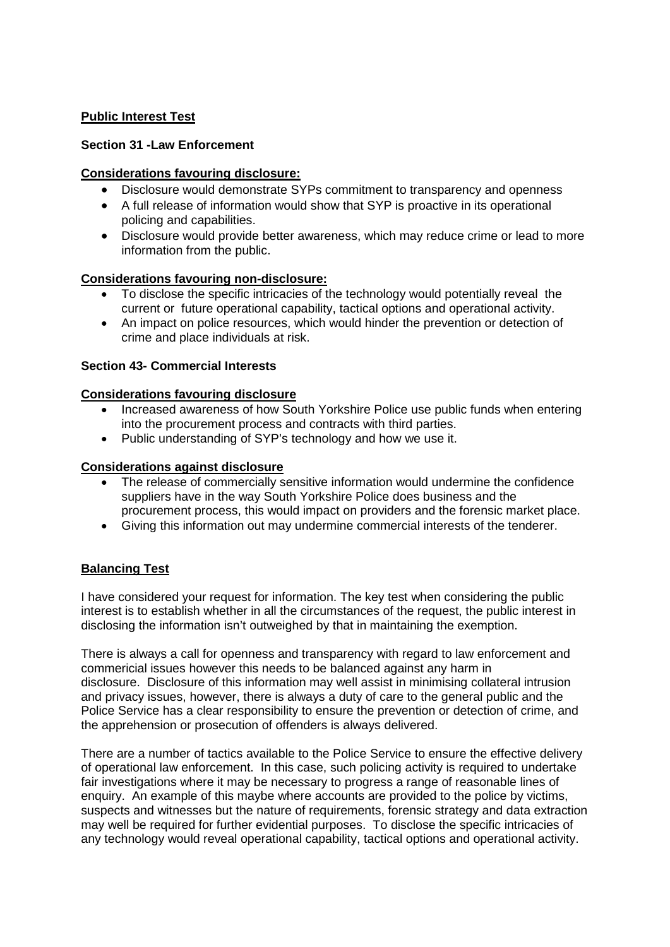# **Public Interest Test**

# **Section 31 -Law Enforcement**

## **Considerations favouring disclosure:**

- Disclosure would demonstrate SYPs commitment to transparency and openness
- A full release of information would show that SYP is proactive in its operational policing and capabilities.
- Disclosure would provide better awareness, which may reduce crime or lead to more information from the public.

## **Considerations favouring non-disclosure:**

- To disclose the specific intricacies of the technology would potentially reveal the current or future operational capability, tactical options and operational activity.
- An impact on police resources, which would hinder the prevention or detection of crime and place individuals at risk.

## **Section 43- Commercial Interests**

## **Considerations favouring disclosure**

- Increased awareness of how South Yorkshire Police use public funds when entering into the procurement process and contracts with third parties.
- Public understanding of SYP's technology and how we use it.

## **Considerations against disclosure**

- The release of commercially sensitive information would undermine the confidence suppliers have in the way South Yorkshire Police does business and the procurement process, this would impact on providers and the forensic market place.
- Giving this information out may undermine commercial interests of the tenderer.

# **Balancing Test**

I have considered your request for information. The key test when considering the public interest is to establish whether in all the circumstances of the request, the public interest in disclosing the information isn't outweighed by that in maintaining the exemption.

There is always a call for openness and transparency with regard to law enforcement and commericial issues however this needs to be balanced against any harm in disclosure. Disclosure of this information may well assist in minimising collateral intrusion and privacy issues, however, there is always a duty of care to the general public and the Police Service has a clear responsibility to ensure the prevention or detection of crime, and the apprehension or prosecution of offenders is always delivered.

There are a number of tactics available to the Police Service to ensure the effective delivery of operational law enforcement. In this case, such policing activity is required to undertake fair investigations where it may be necessary to progress a range of reasonable lines of enquiry. An example of this maybe where accounts are provided to the police by victims, suspects and witnesses but the nature of requirements, forensic strategy and data extraction may well be required for further evidential purposes. To disclose the specific intricacies of any technology would reveal operational capability, tactical options and operational activity.